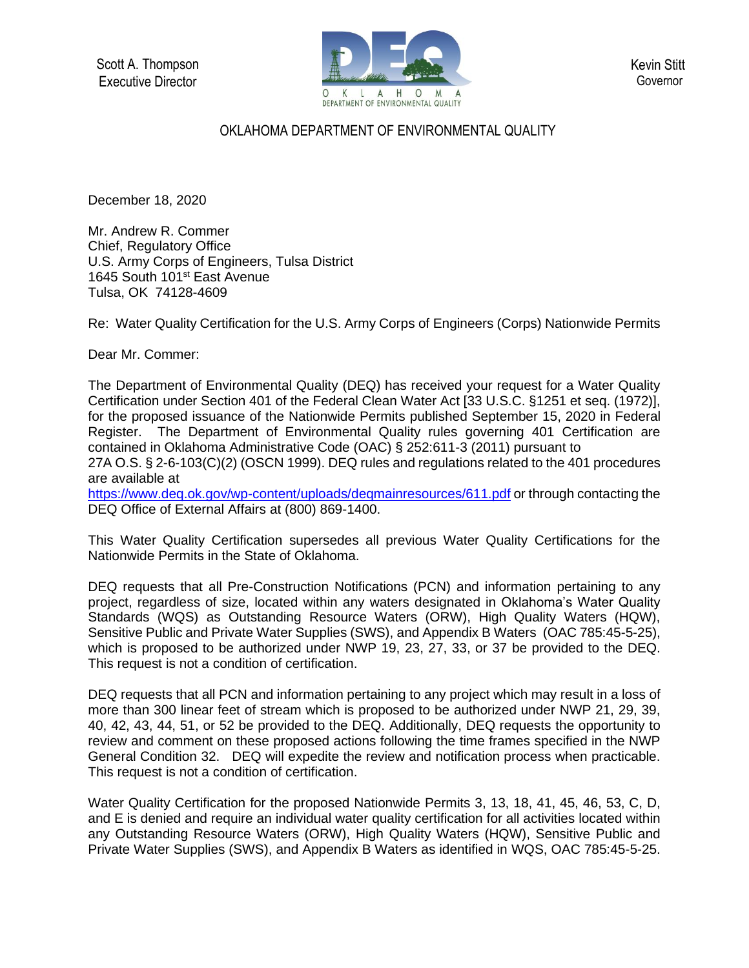Scott A. Thompson Executive Director



Kevin Stitt **Governor** 

## OKLAHOMA DEPARTMENT OF ENVIRONMENTAL QUALITY

December 18, 2020

Mr. Andrew R. Commer Chief, Regulatory Office U.S. Army Corps of Engineers, Tulsa District 1645 South 101<sup>st</sup> East Avenue Tulsa, OK 74128-4609

Re: Water Quality Certification for the U.S. Army Corps of Engineers (Corps) Nationwide Permits

Dear Mr. Commer:

The Department of Environmental Quality (DEQ) has received your request for a Water Quality Certification under Section 401 of the Federal Clean Water Act [33 U.S.C. §1251 et seq. (1972)], for the proposed issuance of the Nationwide Permits published September 15, 2020 in Federal Register. The Department of Environmental Quality rules governing 401 Certification are contained in Oklahoma Administrative Code (OAC) § 252:611-3 (2011) pursuant to 27A O.S. § 2-6-103(C)(2) (OSCN 1999). DEQ rules and regulations related to the 401 procedures are available at

<https://www.deq.ok.gov/wp-content/uploads/deqmainresources/611.pdf> or through contacting the DEQ Office of External Affairs at (800) 869-1400.

This Water Quality Certification supersedes all previous Water Quality Certifications for the Nationwide Permits in the State of Oklahoma.

DEQ requests that all Pre-Construction Notifications (PCN) and information pertaining to any project, regardless of size, located within any waters designated in Oklahoma's Water Quality Standards (WQS) as Outstanding Resource Waters (ORW), High Quality Waters (HQW), Sensitive Public and Private Water Supplies (SWS), and Appendix B Waters (OAC 785:45-5-25), which is proposed to be authorized under NWP 19, 23, 27, 33, or 37 be provided to the DEQ. This request is not a condition of certification.

DEQ requests that all PCN and information pertaining to any project which may result in a loss of more than 300 linear feet of stream which is proposed to be authorized under NWP 21, 29, 39, 40, 42, 43, 44, 51, or 52 be provided to the DEQ. Additionally, DEQ requests the opportunity to review and comment on these proposed actions following the time frames specified in the NWP General Condition 32. DEQ will expedite the review and notification process when practicable. This request is not a condition of certification.

Water Quality Certification for the proposed Nationwide Permits 3, 13, 18, 41, 45, 46, 53, C, D, and E is denied and require an individual water quality certification for all activities located within any Outstanding Resource Waters (ORW), High Quality Waters (HQW), Sensitive Public and Private Water Supplies (SWS), and Appendix B Waters as identified in WQS, OAC 785:45-5-25.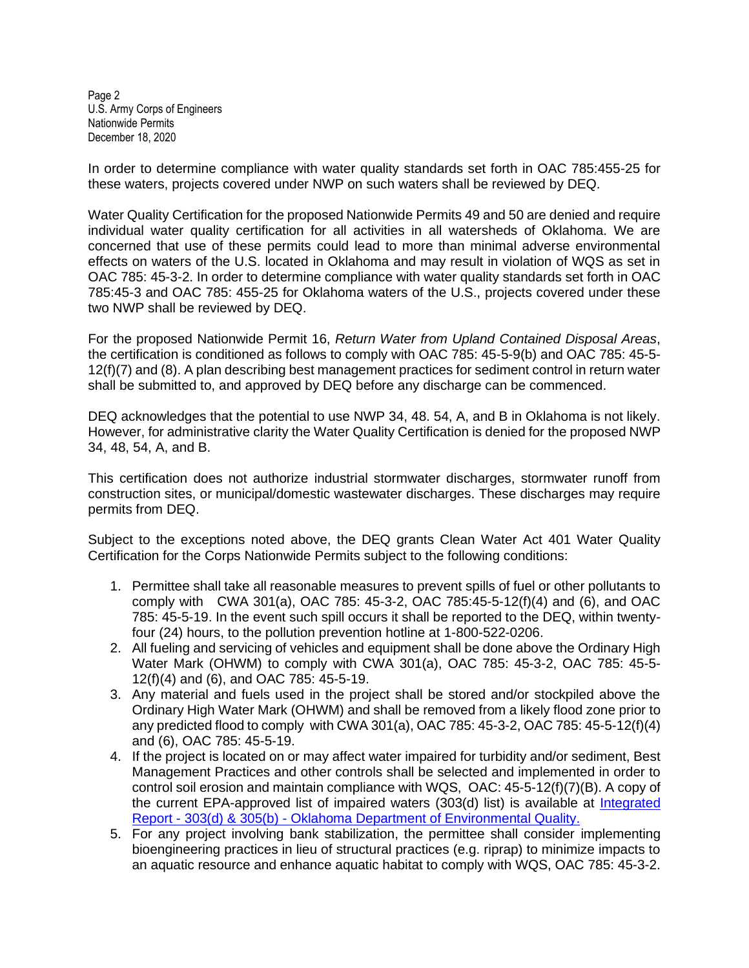Page 2 U.S. Army Corps of Engineers Nationwide Permits December 18, 2020

In order to determine compliance with water quality standards set forth in OAC 785:455-25 for these waters, projects covered under NWP on such waters shall be reviewed by DEQ.

Water Quality Certification for the proposed Nationwide Permits 49 and 50 are denied and require individual water quality certification for all activities in all watersheds of Oklahoma. We are concerned that use of these permits could lead to more than minimal adverse environmental effects on waters of the U.S. located in Oklahoma and may result in violation of WQS as set in OAC 785: 45-3-2. In order to determine compliance with water quality standards set forth in OAC 785:45-3 and OAC 785: 455-25 for Oklahoma waters of the U.S., projects covered under these two NWP shall be reviewed by DEQ.

For the proposed Nationwide Permit 16, *Return Water from Upland Contained Disposal Areas*, the certification is conditioned as follows to comply with OAC 785: 45-5-9(b) and OAC 785: 45-5- 12(f)(7) and (8). A plan describing best management practices for sediment control in return water shall be submitted to, and approved by DEQ before any discharge can be commenced.

DEQ acknowledges that the potential to use NWP 34, 48. 54, A, and B in Oklahoma is not likely. However, for administrative clarity the Water Quality Certification is denied for the proposed NWP 34, 48, 54, A, and B.

This certification does not authorize industrial stormwater discharges, stormwater runoff from construction sites, or municipal/domestic wastewater discharges. These discharges may require permits from DEQ.

Subject to the exceptions noted above, the DEQ grants Clean Water Act 401 Water Quality Certification for the Corps Nationwide Permits subject to the following conditions:

- 1. Permittee shall take all reasonable measures to prevent spills of fuel or other pollutants to comply with CWA 301(a), OAC 785: 45-3-2, OAC 785:45-5-12(f)(4) and (6), and OAC 785: 45-5-19. In the event such spill occurs it shall be reported to the DEQ, within twentyfour (24) hours, to the pollution prevention hotline at 1-800-522-0206.
- 2. All fueling and servicing of vehicles and equipment shall be done above the Ordinary High Water Mark (OHWM) to comply with CWA 301(a), OAC 785: 45-3-2, OAC 785: 45-5- 12(f)(4) and (6), and OAC 785: 45-5-19.
- 3. Any material and fuels used in the project shall be stored and/or stockpiled above the Ordinary High Water Mark (OHWM) and shall be removed from a likely flood zone prior to any predicted flood to comply with CWA 301(a), OAC 785: 45-3-2, OAC 785: 45-5-12(f)(4) and (6), OAC 785: 45-5-19.
- 4. If the project is located on or may affect water impaired for turbidity and/or sediment, Best Management Practices and other controls shall be selected and implemented in order to control soil erosion and maintain compliance with WQS, OAC: 45-5-12(f)(7)(B). A copy of the current EPA-approved list of impaired waters (303(d) list) is available at Integrated Report - 303(d) & 305(b) - [Oklahoma Department of Environmental Quality.](https://www.deq.ok.gov/water-quality-division/watershed-planning/integrated-report/)
- 5. For any project involving bank stabilization, the permittee shall consider implementing bioengineering practices in lieu of structural practices (e.g. riprap) to minimize impacts to an aquatic resource and enhance aquatic habitat to comply with WQS, OAC 785: 45-3-2.